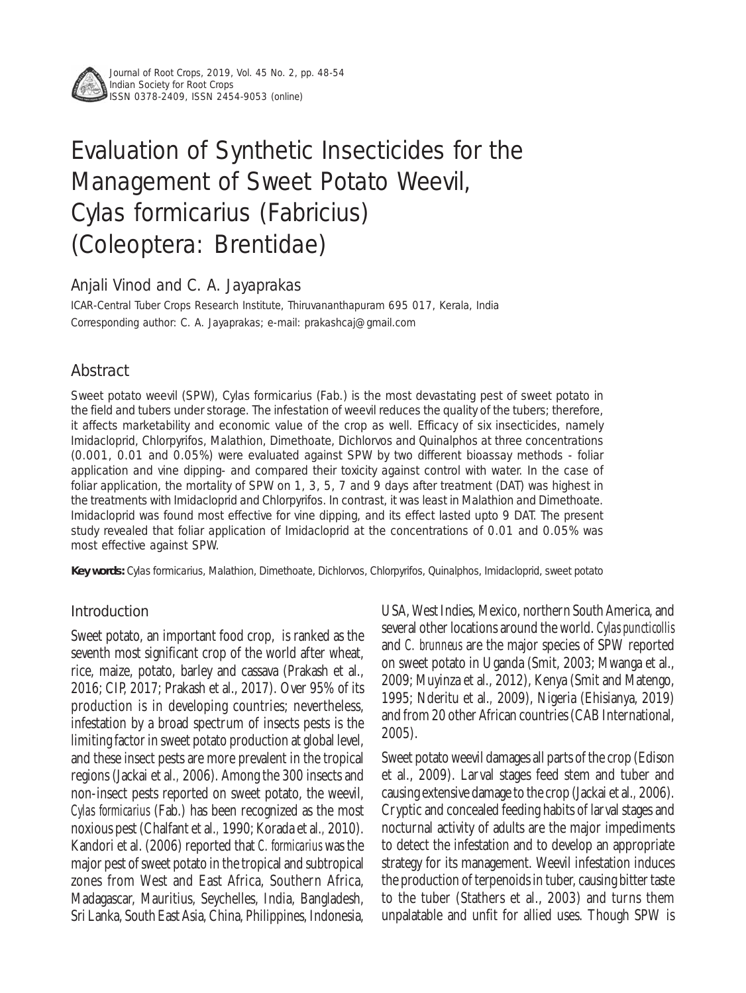

Journal of Root Crops, 2019, Vol. 45 No. 2, pp. 48-54 Indian Society for Root Crops ISSN 0378-2409, ISSN 2454-9053 (online)

# Evaluation of Synthetic Insecticides for the Management of Sweet Potato Weevil, *Cylas formicarius* (Fabricius) (Coleoptera: Brentidae)

# Anjali Vinod and C. A. Jayaprakas

ICAR-Central Tuber Crops Research Institute, Thiruvananthapuram 695 017, Kerala, India Corresponding author: C. A. Jayaprakas; e-mail: prakashcaj@gmail.com

# Abstract

Sweet potato weevil (SPW), *Cylas formicarius* (Fab.) is the most devastating pest of sweet potato in the field and tubers under storage. The infestation of weevil reduces the quality of the tubers; therefore, it affects marketability and economic value of the crop as well. Efficacy of six insecticides, namely Imidacloprid, Chlorpyrifos, Malathion, Dimethoate, Dichlorvos and Quinalphos at three concentrations (0.001, 0.01 and 0.05%) were evaluated against SPW by two different bioassay methods - foliar application and vine dipping- and compared their toxicity against control with water. In the case of foliar application, the mortality of SPW on 1, 3, 5, 7 and 9 days after treatment (DAT) was highest in the treatments with Imidacloprid and Chlorpyrifos. In contrast, it was least in Malathion and Dimethoate. Imidacloprid was found most effective for vine dipping, and its effect lasted upto 9 DAT. The present study revealed that foliar application of Imidacloprid at the concentrations of 0.01 and 0.05% was most effective against SPW.

**Key words:** *Cylas formicarius,* Malathion, Dimethoate, Dichlorvos, Chlorpyrifos, Quinalphos, Imidacloprid, sweet potato

# Introduction

Sweet potato, an important food crop, is ranked as the seventh most significant crop of the world after wheat, rice, maize, potato, barley and cassava (Prakash et al., 2016; CIP, 2017; Prakash et al., 2017). Over 95% of its production is in developing countries; nevertheless, infestation by a broad spectrum of insects pests is the limiting factor in sweet potato production at global level, and these insect pests are more prevalent in the tropical regions (Jackai et al.*,* 2006). Among the 300 insects and non-insect pests reported on sweet potato, the weevil, *Cylas formicarius* (Fab.) has been recognized as the most noxious pest (Chalfant et al.*,* 1990; Korada et al.*,* 2010). Kandori et al. (2006) reported that *C. formicarius* was the major pest of sweet potato in the tropical and subtropical zones from West and East Africa, Southern Africa, Madagascar, Mauritius, Seychelles, India, Bangladesh, Sri Lanka, South East Asia, China, Philippines, Indonesia, USA, West Indies, Mexico, northern South America, and several other locations around the world. *Cylas puncticollis* and *C. brunneus* are the major species of SPW reported on sweet potato in Uganda (Smit, 2003; Mwanga et al., 2009; Muyinza et al., 2012), Kenya (Smit and Matengo, 1995; Nderitu et al.*,* 2009), Nigeria (Ehisianya, 2019) and from 20 other African countries (CAB International, 2005).

Sweet potato weevil damages all parts of the crop (Edison et al., 2009). Larval stages feed stem and tuber and causing extensive damage to the crop (Jackaiet al.*,* 2006). Cryptic and concealed feeding habits of larval stages and nocturnal activity of adults are the major impediments to detect the infestation and to develop an appropriate strategy for its management. Weevil infestation induces the production of terpenoids in tuber, causing bitter taste to the tuber (Stathers et al., 2003) and turns them unpalatable and unfit for allied uses. Though SPW is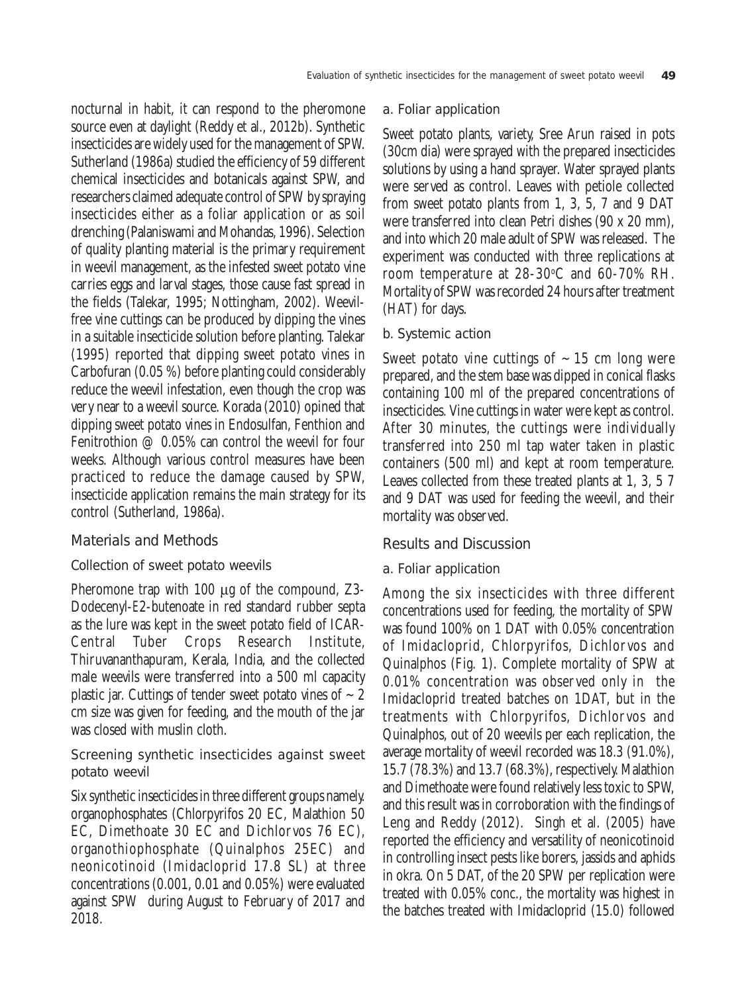nocturnal in habit, it can respond to the pheromone source even at daylight (Reddy et al., 2012b). Synthetic insecticides are widely used for the management of SPW. Sutherland (1986a) studied the efficiency of 59 different chemical insecticides and botanicals against SPW, and researchers claimed adequate control of SPW by spraying insecticides either as a foliar application or as soil drenching (Palaniswami and Mohandas, 1996). Selection of quality planting material is the primary requirement in weevil management, as the infested sweet potato vine carries eggs and larval stages, those cause fast spread in the fields (Talekar, 1995; Nottingham, 2002). Weevilfree vine cuttings can be produced by dipping the vines in a suitable insecticide solution before planting. Talekar (1995) reported that dipping sweet potato vines in Carbofuran (0.05 %) before planting could considerably reduce the weevil infestation, even though the crop was very near to a weevil source. Korada (2010) opined that dipping sweet potato vines in Endosulfan, Fenthion and Fenitrothion @ 0.05% can control the weevil for four weeks. Although various control measures have been practiced to reduce the damage caused by SPW, insecticide application remains the main strategy for its control (Sutherland, 1986a).

# Materials and Methods

#### Collection of sweet potato weevils

Pheromone trap with 100 μg of the compound, Z3- Dodecenyl-*E*2-butenoate in red standard rubber septa as the lure was kept in the sweet potato field of ICAR-Central Tuber Crops Research Institute, Thiruvananthapuram, Kerala, India, and the collected male weevils were transferred into a 500 ml capacity plastic jar. Cuttings of tender sweet potato vines of  $\sim$  2 cm size was given for feeding, and the mouth of the jar was closed with muslin cloth.

# Screening synthetic insecticides against sweet potato weevil

Six synthetic insecticides in three different groups namely. organophosphates (Chlorpyrifos 20 EC, Malathion 50 EC, Dimethoate 30 EC and Dichlorvos 76 EC), organothiophosphate (Quinalphos 25EC) and neonicotinoid (Imidacloprid 17.8 SL) at three concentrations (0.001, 0.01 and 0.05%) were evaluated against SPW during August to February of 2017 and 2018.

#### a. Foliar application

Sweet potato plants, variety, Sree Arun raised in pots (30cm dia) were sprayed with the prepared insecticides solutions by using a hand sprayer. Water sprayed plants were served as control. Leaves with petiole collected from sweet potato plants from 1, 3, 5, 7 and 9 DAT were transferred into clean Petri dishes (90 x 20 mm), and into which 20 male adult of SPW was released. The experiment was conducted with three replications at room temperature at 28-30°C and 60-70% RH. Mortality of SPW was recorded 24 hours after treatment (HAT) for days.

### b. Systemic action

Sweet potato vine cuttings of  $\sim$  15 cm long were prepared, and the stem base was dipped in conical flasks containing 100 ml of the prepared concentrations of insecticides. Vine cuttings in water were kept as control. After 30 minutes, the cuttings were individually transferred into 250 ml tap water taken in plastic containers (500 ml) and kept at room temperature. Leaves collected from these treated plants at 1, 3, 5 7 and 9 DAT was used for feeding the weevil, and their mortality was observed.

# Results and Discussion

#### a. Foliar application

Among the six insecticides with three different concentrations used for feeding, the mortality of SPW was found 100% on 1 DAT with 0.05% concentration of Imidacloprid, Chlorpyrifos, Dichlorvos and Quinalphos (Fig. 1). Complete mortality of SPW at 0.01% concentration was observed only in the Imidacloprid treated batches on 1DAT, but in the treatments with Chlorpyrifos, Dichlorvos and Quinalphos, out of 20 weevils per each replication, the average mortality of weevil recorded was 18.3 (91.0%), 15.7 (78.3%) and 13.7 (68.3%), respectively. Malathion and Dimethoate were found relatively less toxic to SPW, and this result was in corroboration with the findings of Leng and Reddy (2012). Singh et al. (2005) have reported the efficiency and versatility of neonicotinoid in controlling insect pests like borers, jassids and aphids in okra. On 5 DAT, of the 20 SPW per replication were treated with 0.05% conc., the mortality was highest in the batches treated with Imidacloprid (15.0) followed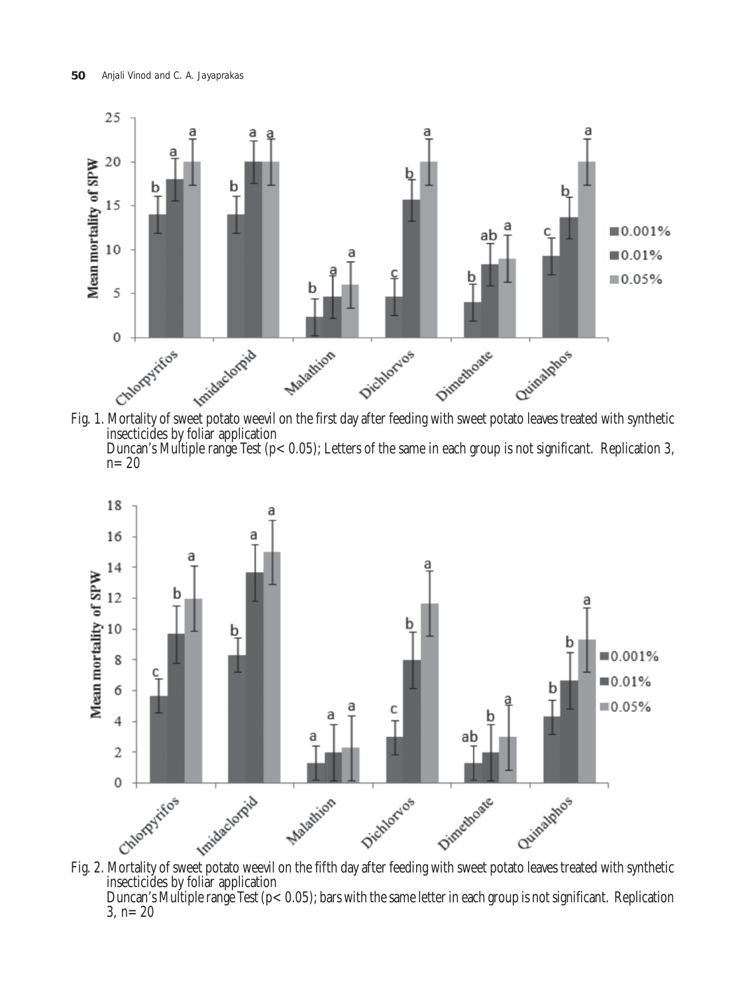





Duncan's Multiple range Test ( $p < 0.05$ ); bars with the same letter in each group is not significant. Replication 3,  $n=20$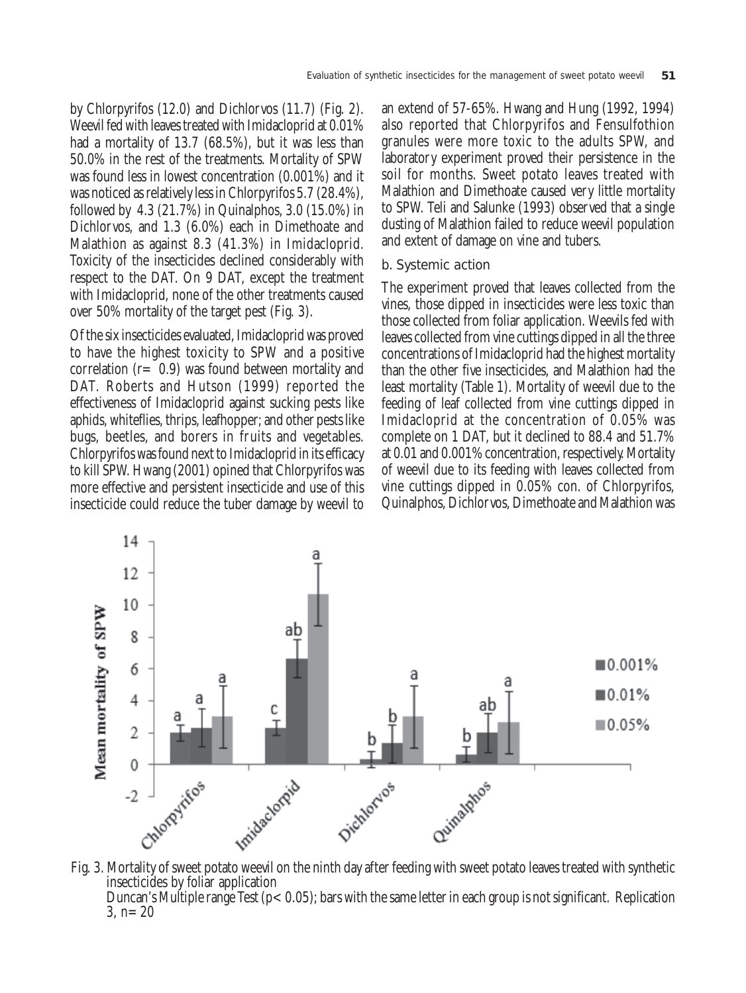by Chlorpyrifos (12.0) and Dichlorvos (11.7) (Fig. 2). Weevil fed with leaves treated with Imidacloprid at 0.01% had a mortality of 13.7 (68.5%), but it was less than 50.0% in the rest of the treatments. Mortality of SPW was found less in lowest concentration (0.001%) and it was noticed as relatively less in Chlorpyrifos 5.7 (28.4%), followed by 4.3 (21.7%) in Quinalphos, 3.0 (15.0%) in Dichlorvos, and 1.3 (6.0%) each in Dimethoate and Malathion as against 8.3 (41.3%) in Imidacloprid. Toxicity of the insecticides declined considerably with respect to the DAT. On 9 DAT, except the treatment with Imidacloprid, none of the other treatments caused over 50% mortality of the target pest (Fig. 3).

Of the six insecticides evaluated, Imidacloprid was proved to have the highest toxicity to SPW and a positive correlation (r= 0.9) was found between mortality and DAT. Roberts and Hutson (1999) reported the effectiveness of Imidacloprid against sucking pests like aphids, whiteflies, thrips, leafhopper; and other pests like bugs, beetles, and borers in fruits and vegetables. Chlorpyrifos was found next to Imidacloprid in its efficacy to kill SPW. Hwang (2001) opined that Chlorpyrifos was more effective and persistent insecticide and use of this insecticide could reduce the tuber damage by weevil to

an extend of 57-65%. Hwang and Hung (1992, 1994) also reported that Chlorpyrifos and Fensulfothion granules were more toxic to the adults SPW, and laboratory experiment proved their persistence in the soil for months. Sweet potato leaves treated with Malathion and Dimethoate caused very little mortality to SPW. Teli and Salunke (1993) observed that a single dusting of Malathion failed to reduce weevil population and extent of damage on vine and tubers.

#### b. Systemic action

The experiment proved that leaves collected from the vines, those dipped in insecticides were less toxic than those collected from foliar application. Weevils fed with leaves collected from vine cuttings dipped in all the three concentrations of Imidacloprid had the highest mortality than the other five insecticides, and Malathion had the least mortality (Table 1). Mortality of weevil due to the feeding of leaf collected from vine cuttings dipped in Imidacloprid at the concentration of 0.05% was complete on 1 DAT, but it declined to 88.4 and 51.7% at 0.01 and 0.001% concentration, respectively. Mortality of weevil due to its feeding with leaves collected from vine cuttings dipped in 0.05% con. of Chlorpyrifos, Quinalphos, Dichlorvos, Dimethoate and Malathion was



Duncan's Multiple range Test ( $p < 0.05$ ); bars with the same letter in each group is not significant. Replication 3,  $n=20$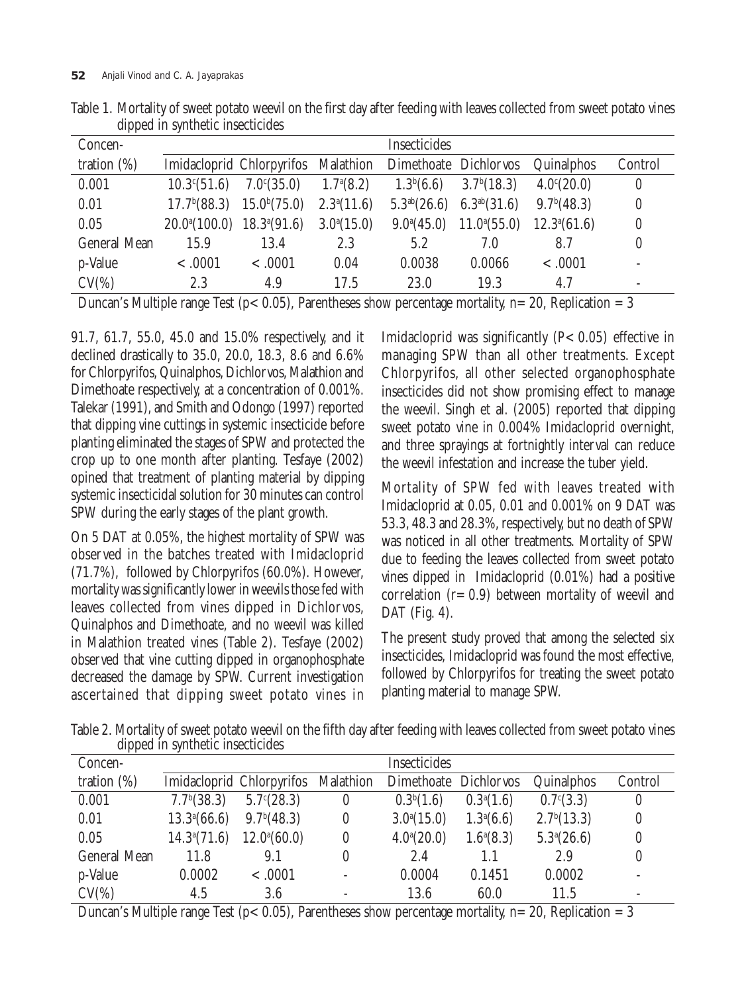| Concen-             |                                    |                                                           |                    | <b>Insecticides</b> |                                          |                         |                          |
|---------------------|------------------------------------|-----------------------------------------------------------|--------------------|---------------------|------------------------------------------|-------------------------|--------------------------|
| tration $(\%)$      |                                    | Imidacloprid Chlorpyrifos Malathion Dimethoate Dichlorvos |                    |                     |                                          | Quinalphos              | Control                  |
| 0.001               |                                    | $10.3^{\circ}(51.6)$ $7.0^{\circ}(35.0)$                  | $1.7^{\rm a}(8.2)$ |                     | $1.3b(6.6)$ $3.7b(18.3)$                 | $4.0^{\circ}(20.0)$     | $\boldsymbol{0}$         |
| 0.01                |                                    | $17.7b(88.3)$ $15.0b(75.0)$                               | $2.3^a(11.6)$      |                     | $5.3^{ab}(26.6)$ $6.3^{ab}(31.6)$        | 9.7 <sup>b</sup> (48.3) | $\boldsymbol{0}$         |
| 0.05                | $20.0^{a}(100.0)$ $18.3^{a}(91.6)$ |                                                           | $3.0^{a}(15.0)$    |                     | $9.0^{\circ}(45.0)$ $11.0^{\circ}(55.0)$ | $12.3^{\circ}(61.6)$    | $\boldsymbol{0}$         |
| <b>General Mean</b> | 15.9                               | 13.4                                                      | 2.3                | 5.2                 | 7.0                                      | 8.7                     | $\boldsymbol{0}$         |
| p-Value             | $-.0001$                           | $-.0001$                                                  | 0.04               | 0.0038              | 0.0066                                   | $-.0001$                | $\overline{\phantom{a}}$ |
| $CV(\%)$            | 2.3                                | 4.9                                                       | 17.5               | 23.0                | 19.3                                     | 4.7                     | -                        |

Table 1. Mortality of sweet potato weevil on the first day after feeding with leaves collected from sweet potato vines dipped in synthetic insecticides

Duncan's Multiple range Test (p<0.05), Parentheses show percentage mortality, n=20, Replication = 3

91.7, 61.7, 55.0, 45.0 and 15.0% respectively, and it declined drastically to 35.0, 20.0, 18.3, 8.6 and 6.6% for Chlorpyrifos, Quinalphos, Dichlorvos, Malathion and Dimethoate respectively, at a concentration of 0.001%. Talekar (1991), and Smith and Odongo (1997) reported that dipping vine cuttings in systemic insecticide before planting eliminated the stages of SPW and protected the crop up to one month after planting. Tesfaye (2002) opined that treatment of planting material by dipping systemic insecticidal solution for 30 minutes can control SPW during the early stages of the plant growth.

On 5 DAT at 0.05%, the highest mortality of SPW was observed in the batches treated with Imidacloprid (71.7%), followed by Chlorpyrifos (60.0%). However, mortality was significantly lower in weevils those fed with leaves collected from vines dipped in Dichlorvos, Quinalphos and Dimethoate, and no weevil was killed in Malathion treated vines (Table 2). Tesfaye (2002) observed that vine cutting dipped in organophosphate decreased the damage by SPW. Current investigation ascertained that dipping sweet potato vines in

Imidacloprid was significantly  $(P<0.05)$  effective in managing SPW than all other treatments. Except Chlorpyrifos, all other selected organophosphate insecticides did not show promising effect to manage the weevil. Singh et al. (2005) reported that dipping sweet potato vine in 0.004% Imidacloprid overnight, and three sprayings at fortnightly interval can reduce the weevil infestation and increase the tuber yield.

Mortality of SPW fed with leaves treated with Imidacloprid at 0.05, 0.01 and 0.001% on 9 DAT was 53.3, 48.3 and 28.3%, respectively, but no death of SPW was noticed in all other treatments. Mortality of SPW due to feeding the leaves collected from sweet potato vines dipped in Imidacloprid (0.01%) had a positive correlation  $(r=0.9)$  between mortality of weevil and DAT (Fig. 4).

The present study proved that among the selected six insecticides, Imidacloprid was found the most effective, followed by Chlorpyrifos for treating the sweet potato planting material to manage SPW.

Table 2. Mortality of sweet potato weevil on the fifth day after feeding with leaves collected from sweet potato vines dipped in synthetic insecticides

| Concen-             |                         |                                     |          | <b>Insecticides</b>    |                        |                         |                          |
|---------------------|-------------------------|-------------------------------------|----------|------------------------|------------------------|-------------------------|--------------------------|
| tration $(\%)$      |                         | Imidacloprid Chlorpyrifos Malathion |          | Dimethoate Dichlorvos  |                        | <b>Quinalphos</b>       | Control                  |
| 0.001               | 7.7 <sup>b</sup> (38.3) | $5.7^{\circ}(28.3)$                 | $\bf{0}$ | 0.3 <sup>b</sup> (1.6) | $0.3^a(1.6)$           | $0.7^{c}(3.3)$          | $\boldsymbol{0}$         |
| 0.01                | $13.3^{a}(66.6)$        | 9.7 <sup>b</sup> (48.3)             | $\bf{0}$ | $3.0^{a}(15.0)$        | 1.3 <sup>a</sup> (6.6) | 2.7 <sup>b</sup> (13.3) | $\theta$                 |
| 0.05                | $14.3^{\circ}(71.6)$    | $12.0^{a}(60.0)$                    | $\bf{0}$ | $4.0^{\circ}(20.0)$    | $1.6^{\circ}(8.3)$     | $5.3^{\circ}(26.6)$     | $\boldsymbol{0}$         |
| <b>General Mean</b> | 11.8                    | 9.1                                 | $\bf{0}$ | 2.4                    | 1.1                    | 2.9                     | $\boldsymbol{0}$         |
| p-Value             | 0.0002                  | $-.0001$                            |          | 0.0004                 | 0.1451                 | 0.0002                  | $\overline{\phantom{a}}$ |
| $CV(\%)$            | 4.5                     | 3.6                                 |          | 13.6                   | 60.0                   | 11.5                    | $\overline{\phantom{0}}$ |

Duncan's Multiple range Test (p $< 0.05$ ), Parentheses show percentage mortality, n=20, Replication = 3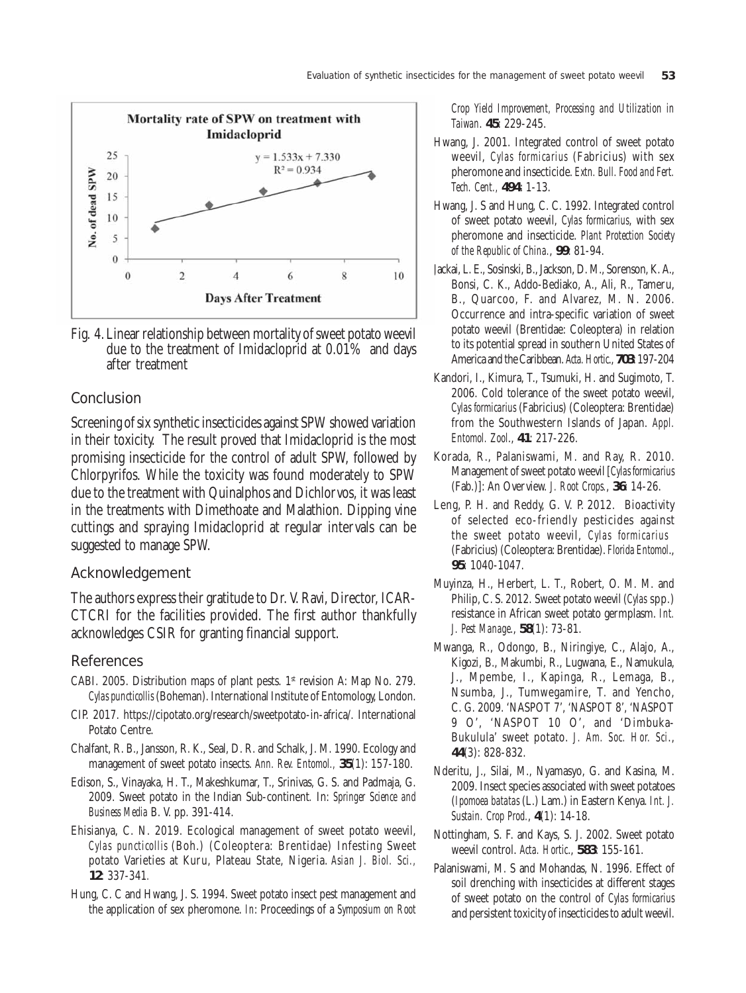

Fig. 4. Linear relationship between mortality of sweet potato weevil due to the treatment of Imidacloprid at 0.01% and days after treatment

#### Conclusion

Screening of six synthetic insecticides against SPW showed variation in their toxicity. The result proved that Imidacloprid is the most promising insecticide for the control of adult SPW, followed by Chlorpyrifos. While the toxicity was found moderately to SPW due to the treatment with Quinalphos and Dichlorvos, it was least in the treatments with Dimethoate and Malathion. Dipping vine cuttings and spraying Imidacloprid at regular intervals can be suggested to manage SPW.

#### Acknowledgement

The authors express their gratitude to Dr. V. Ravi, Director, ICAR-CTCRI for the facilities provided. The first author thankfully acknowledges CSIR for granting financial support.

#### References

- CABI. 2005. Distribution maps of plant pests.  $1<sup>st</sup>$  revision A: Map No. 279. *Cylas puncticollis* (Boheman). International Institute of Entomology, London.
- CIP. 2017. https://cipotato.org/research/sweetpotato-in-africa/. International Potato Centre.
- Chalfant, R. B., Jansson, R. K., Seal, D. R. and Schalk, J. M. 1990. Ecology and management of sweet potato insects. *Ann. Rev. Entomol.,* **35**(1): 157-180.
- Edison, S., Vinayaka, H. T., Makeshkumar, T., Srinivas, G. S. and Padmaja, G. 2009. Sweet potato in the Indian Sub-continent*.* In: *Springer Science and Business Media* B. V. pp. 391-414.
- Ehisianya, C. N. 2019. Ecological management of sweet potato weevil, *Cylas puncticollis* (Boh.) (Coleoptera: Brentidae) Infesting Sweet potato Varieties at Kuru, Plateau State, Nigeria. *Asian J. Biol. Sci.,* **12**: 337-341*.*
- Hung, C. C and Hwang, J. S. 1994. Sweet potato insect pest management and the application of sex pheromone. *In*: Proceedings of a *Symposium on Root*

*Crop Yield Improvement, Processing and Utilization in Taiwan*. **45**: 229-245.

- Hwang, J. 2001. Integrated control of sweet potato weevil, *Cylas formicarius* (Fabricius) with sex pheromone and insecticide. *Extn. Bull. Food and Fert. Tech. Cent.,* **494**: 1-13.
- Hwang, J. S and Hung, C. C. 1992. Integrated control of sweet potato weevil, *Cylas formicarius*, with sex pheromone and insecticide. *Plant Protection Society of the Republic of China.*, **99**: 81-94.
- Jackai, L. E., Sosinski, B., Jackson, D. M., Sorenson, K. A., Bonsi, C. K., Addo-Bediako, A., Ali, R., Tameru, B., Quarcoo, F. and Alvarez, M. N. 2006. Occurrence and intra-specific variation of sweet potato weevil (Brentidae: Coleoptera) in relation to its potential spread in southern United States of America and the Caribbean. *Acta. Hortic*., **703**: 197-204
- Kandori, I., Kimura, T., Tsumuki, H. and Sugimoto, T. 2006. Cold tolerance of the sweet potato weevil, *Cylas formicarius* (Fabricius) (Coleoptera: Brentidae) from the Southwestern Islands of Japan. *Appl. Entomol. Zool*., **41**: 217-226.
- Korada, R., Palaniswami, M. and Ray, R. 2010. Management of sweet potato weevil [*Cylas formicarius* (Fab.)]: An Overview. *J. Root Crops.*, **36**: 14-26.
- Leng, P. H. and Reddy, G. V. P. 2012. Bioactivity of selected eco-friendly pesticides against the sweet potato weevil, *Cylas formicarius* (Fabricius) (Coleoptera: Brentidae). *Florida Entomol*., **95**: 1040-1047.
- Muyinza, H., Herbert, L. T., Robert, O. M. M. and Philip, C. S. 2012. Sweet potato weevil (*Cylas* spp.) resistance in African sweet potato germplasm. *Int. J. Pest Manage*., **58**(1): 73-81.
- Mwanga, R., Odongo, B., Niringiye, C., Alajo, A., Kigozi, B., Makumbi, R., Lugwana, E., Namukula, J., Mpembe, I., Kapinga, R., Lemaga, B., Nsumba, J., Tumwegamire, T. and Yencho, C. G. 2009. 'NASPOT 7', 'NASPOT 8', 'NASPOT 9 O', 'NASPOT 10 O', and 'Dimbuka-Bukulula' sweet potato. *J. Am. Soc. Hor. Sci*., **44**(3): 828-832.
- Nderitu, J., Silai, M., Nyamasyo, G. and Kasina, M. 2009. Insect species associated with sweet potatoes (*Ipomoea batatas* (L.) Lam.) in Eastern Kenya. *Int. J. Sustain. Crop Prod.*, **4**(1): 14-18.
- Nottingham, S. F. and Kays, S. J. 2002. Sweet potato weevil control. *Acta. Hortic*., **583**: 155-161.
- Palaniswami, M. S and Mohandas, N. 1996. Effect of soil drenching with insecticides at different stages of sweet potato on the control of *Cylas formicarius* and persistent toxicity of insecticides to adult weevil.